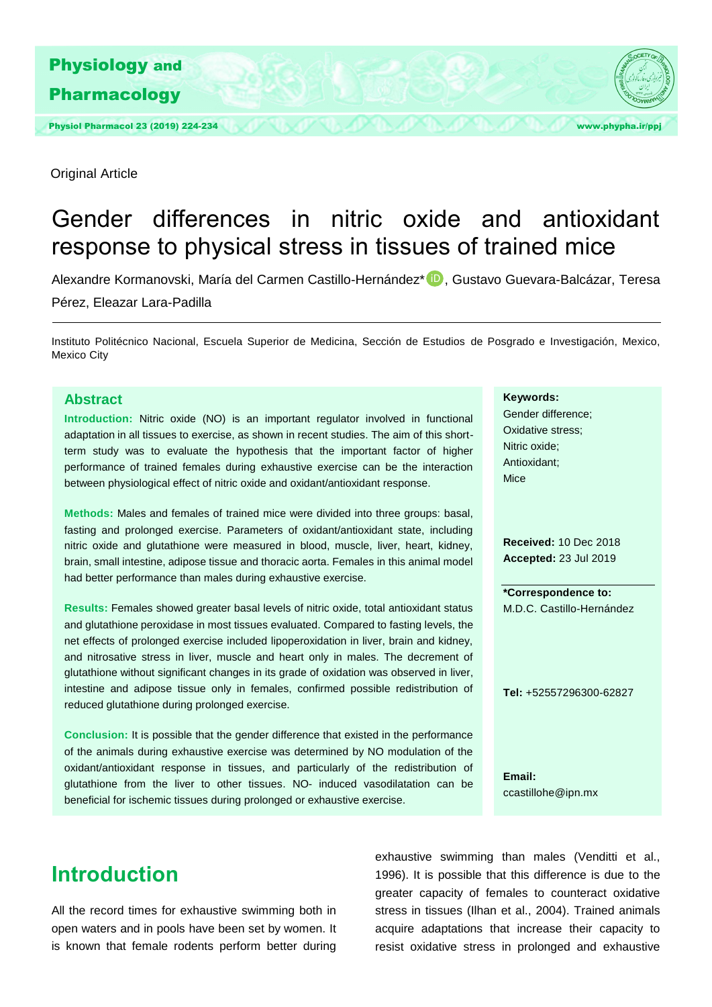

Original Article

# Gender differences in nitric oxide and antioxidant response to physical stress in tissues of trained mice

Alexandre Kormanovski, María del Carmen Castillo-Hernández\* D, Gustavo Guevara-Balcázar, Teresa Pérez, Eleazar Lara-Padilla

Instituto Politécnico Nacional, Escuela Superior de Medicina, Sección de Estudios de Posgrado e Investigación, Mexico, Mexico City

### **Abstract**

**Introduction:** Nitric oxide (NO) is an important regulator involved in functional adaptation in all tissues to exercise, as shown in recent studies. The aim of this shortterm study was to evaluate the hypothesis that the important factor of higher performance of trained females during exhaustive exercise can be the interaction between physiological effect of nitric oxide and oxidant/antioxidant response.

**Methods:** Males and females of trained mice were divided into three groups: basal, fasting and prolonged exercise. Parameters of oxidant/antioxidant state, including nitric oxide and glutathione were measured in blood, muscle, liver, heart, kidney, brain, small intestine, adipose tissue and thoracic aorta. Females in this animal model had better performance than males during exhaustive exercise.

**Results:** Females showed greater basal levels of nitric oxide, total antioxidant status and glutathione peroxidase in most tissues evaluated. Compared to fasting levels, the net effects of prolonged exercise included lipoperoxidation in liver, brain and kidney, and nitrosative stress in liver, muscle and heart only in males. The decrement of glutathione without significant changes in its grade of oxidation was observed in liver, intestine and adipose tissue only in females, confirmed possible redistribution of reduced glutathione during prolonged exercise.

**Conclusion:** It is possible that the gender difference that existed in the performance of the animals during exhaustive exercise was determined by NO modulation of the oxidant/antioxidant response in tissues, and particularly of the redistribution of glutathione from the liver to other tissues. NO- induced vasodilatation can be beneficial for ischemic tissues during prolonged or exhaustive exercise.

**Keywords:**

Gender difference; Oxidative stress; Nitric oxide; Antioxidant; Mice

**Received:** 10 Dec 2018 **Accepted:** 23 Jul 2019

**\*Correspondence to:**  M.D.C. Castillo-Hernández

**Tel:** +52557296300-62827

**Email:**  ccastillohe@ipn.mx

### **Introduction**

All the record times for exhaustive swimming both in open waters and in pools have been set by women. It is known that female rodents perform better during

exhaustive swimming than males (Venditti et al., 1996). It is possible that this difference is due to the greater capacity of females to counteract oxidative stress in tissues (Ilhan et al., 2004). Trained animals acquire adaptations that increase their capacity to resist oxidative stress in prolonged and exhaustive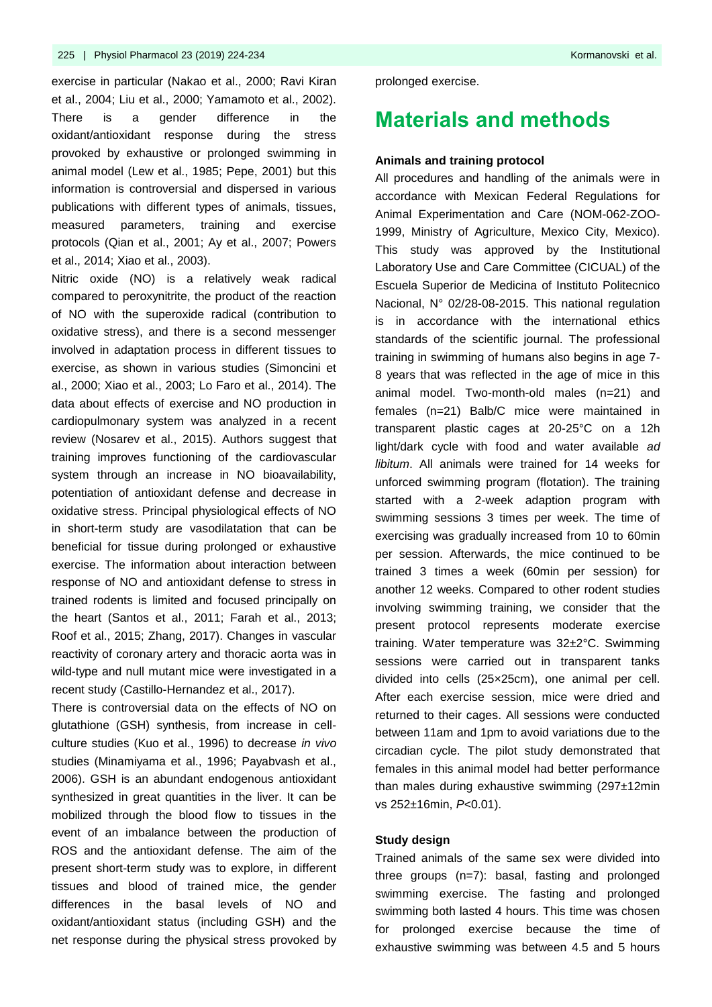exercise in particular (Nakao et al., 2000; Ravi Kiran et al., 2004; Liu et al., 2000; Yamamoto et al., 2002). There is a gender difference in the oxidant/antioxidant response during the stress provoked by exhaustive or prolonged swimming in animal model (Lew et al., 1985; Pepe, 2001) but this information is controversial and dispersed in various publications with different types of animals, tissues, measured parameters, training and exercise protocols (Qian et al., 2001; Ay et al., 2007; Powers et al., 2014; Xiao et al., 2003).

Nitric oxide (NO) is a relatively weak radical compared to peroxynitrite, the product of the reaction of NO with the superoxide radical (contribution to oxidative stress), and there is a second messenger involved in adaptation process in different tissues to exercise, as shown in various studies (Simoncini et al., 2000; Xiao et al., 2003; Lo Faro et al., 2014). The data about effects of exercise and NO production in cardiopulmonary system was analyzed in a recent review (Nosarev et al., 2015). Authors suggest that training improves functioning of the cardiovascular system through an increase in NO bioavailability, potentiation of antioxidant defense and decrease in oxidative stress. Principal physiological effects of NO in short-term study are vasodilatation that can be beneficial for tissue during prolonged or exhaustive exercise. The information about interaction between response of NO and antioxidant defense to stress in trained rodents is limited and focused principally on the heart (Santos et al., 2011; Farah et al., 2013; Roof et al., 2015; Zhang, 2017). Changes in vascular reactivity of coronary artery and thoracic aorta was in wild-type and null mutant mice were investigated in a recent study (Castillo-Hernandez et al., 2017).

There is controversial data on the effects of NO on glutathione (GSH) synthesis, from increase in cellculture studies (Kuo et al., 1996) to decrease *in vivo* studies (Minamiyama et al., 1996; Payabvash et al., 2006). GSH is an abundant endogenous antioxidant synthesized in great quantities in the liver. It can be mobilized through the blood flow to tissues in the event of an imbalance between the production of ROS and the antioxidant defense. The aim of the present short-term study was to explore, in different tissues and blood of trained mice, the gender differences in the basal levels of NO and oxidant/antioxidant status (including GSH) and the net response during the physical stress provoked by

prolonged exercise.

### **Materials and methods**

#### **Animals and training protocol**

All procedures and handling of the animals were in accordance with Mexican Federal Regulations for Animal Experimentation and Care (NOM-062-ZOO-1999, Ministry of Agriculture, Mexico City, Mexico). This study was approved by the Institutional Laboratory Use and Care Committee (CICUAL) of the Escuela Superior de Medicina of Instituto Politecnico Nacional, N° 02/28-08-2015. This national regulation is in accordance with the international ethics standards of the scientific journal. The professional training in swimming of humans also begins in age 7- 8 years that was reflected in the age of mice in this animal model. Two-month-old males (n=21) and females (n=21) Balb/C mice were maintained in transparent plastic cages at 20-25°C on a 12h light/dark cycle with food and water available *ad libitum*. All animals were trained for 14 weeks for unforced swimming program (flotation). The training started with a 2-week adaption program with swimming sessions 3 times per week. The time of exercising was gradually increased from 10 to 60min per session. Afterwards, the mice continued to be trained 3 times a week (60min per session) for another 12 weeks. Compared to other rodent studies involving swimming training, we consider that the present protocol represents moderate exercise training. Water temperature was 32±2°C. Swimming sessions were carried out in transparent tanks divided into cells (25×25cm), one animal per cell. After each exercise session, mice were dried and returned to their cages. All sessions were conducted between 11am and 1pm to avoid variations due to the circadian cycle. The pilot study demonstrated that females in this animal model had better performance than males during exhaustive swimming (297±12min vs 252±16min, *P*<0.01).

#### **Study design**

Trained animals of the same sex were divided into three groups (n=7): basal, fasting and prolonged swimming exercise. The fasting and prolonged swimming both lasted 4 hours. This time was chosen for prolonged exercise because the time of exhaustive swimming was between 4.5 and 5 hours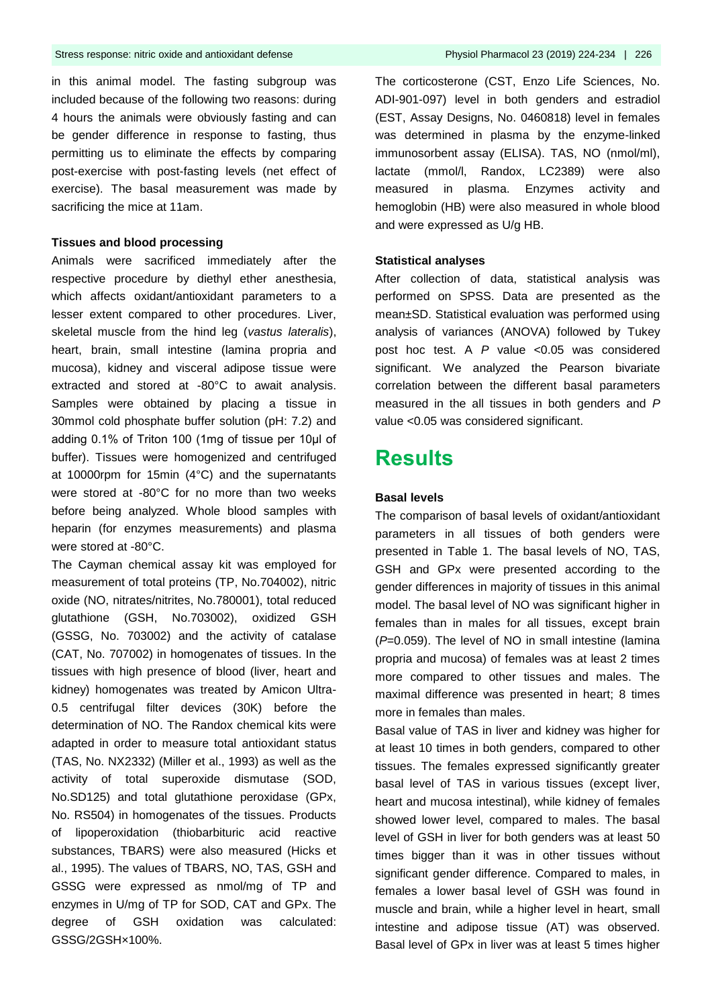in this animal model. The fasting subgroup was included because of the following two reasons: during 4 hours the animals were obviously fasting and can be gender difference in response to fasting, thus permitting us to eliminate the effects by comparing post-exercise with post-fasting levels (net effect of exercise). The basal measurement was made by sacrificing the mice at 11am.

### **Tissues and blood processing**

Animals were sacrificed immediately after the respective procedure by diethyl ether anesthesia, which affects oxidant/antioxidant parameters to a lesser extent compared to other procedures. Liver, skeletal muscle from the hind leg (*vastus lateralis*), heart, brain, small intestine (lamina propria and mucosa), kidney and visceral adipose tissue were extracted and stored at -80°C to await analysis. Samples were obtained by placing a tissue in 30mmol cold phosphate buffer solution (pH: 7.2) and adding 0.1% of Triton 100 (1mg of tissue per 10μl of buffer). Tissues were homogenized and centrifuged at 10000rpm for 15min (4°C) and the supernatants were stored at -80°C for no more than two weeks before being analyzed. Whole blood samples with heparin (for enzymes measurements) and plasma were stored at -80°C.

The Cayman chemical assay kit was employed for measurement of total proteins (TP, No.704002), nitric oxide (NO, nitrates/nitrites, No.780001), total reduced glutathione (GSH, No.703002), oxidized GSH (GSSG, No. 703002) and the activity of catalase (CAT, No. 707002) in homogenates of tissues. In the tissues with high presence of blood (liver, heart and kidney) homogenates was treated by Amicon Ultra-0.5 centrifugal filter devices (30K) before the determination of NO. The Randox chemical kits were adapted in order to measure total antioxidant status (TAS, No. NX2332) (Miller et al., 1993) as well as the activity of total superoxide dismutase (SOD, No.SD125) and total glutathione peroxidase (GPx, No. RS504) in homogenates of the tissues. Products of lipoperoxidation (thiobarbituric acid reactive substances, TBARS) were also measured (Hicks et al., 1995). The values of TBARS, NO, TAS, GSH and GSSG were expressed as nmol/mg of TP and enzymes in U/mg of TP for SOD, CAT and GPx. The degree of GSH oxidation was calculated: GSSG/2GSH×100%.

The corticosterone (CST, Enzo Life Sciences, No. ADI-901-097) level in both genders and estradiol (EST, Assay Designs, No. 0460818) level in females was determined in plasma by the enzyme-linked immunosorbent assay (ELISA). TAS, NO (nmol/ml), lactate (mmol/l, Randox, LC2389) were also measured in plasma. Enzymes activity and hemoglobin (HB) were also measured in whole blood and were expressed as U/g HB.

#### **Statistical analyses**

After collection of data, statistical analysis was performed on SPSS. Data are presented as the mean±SD. Statistical evaluation was performed using analysis of variances (ANOVA) followed by Tukey post hoc test. A *P* value <0.05 was considered significant. We analyzed the Pearson bivariate correlation between the different basal parameters measured in the all tissues in both genders and *P* value <0.05 was considered significant.

### **Results**

#### **Basal levels**

The comparison of basal levels of oxidant/antioxidant parameters in all tissues of both genders were presented in Table 1. The basal levels of NO, TAS, GSH and GPx were presented according to the gender differences in majority of tissues in this animal model. The basal level of NO was significant higher in females than in males for all tissues, except brain (*P*=0.059). The level of NO in small intestine (lamina propria and mucosa) of females was at least 2 times more compared to other tissues and males. The maximal difference was presented in heart; 8 times more in females than males.

Basal value of TAS in liver and kidney was higher for at least 10 times in both genders, compared to other tissues. The females expressed significantly greater basal level of TAS in various tissues (except liver, heart and mucosa intestinal), while kidney of females showed lower level, compared to males. The basal level of GSH in liver for both genders was at least 50 times bigger than it was in other tissues without significant gender difference. Compared to males, in females a lower basal level of GSH was found in muscle and brain, while a higher level in heart, small intestine and adipose tissue (AT) was observed. Basal level of GPx in liver was at least 5 times higher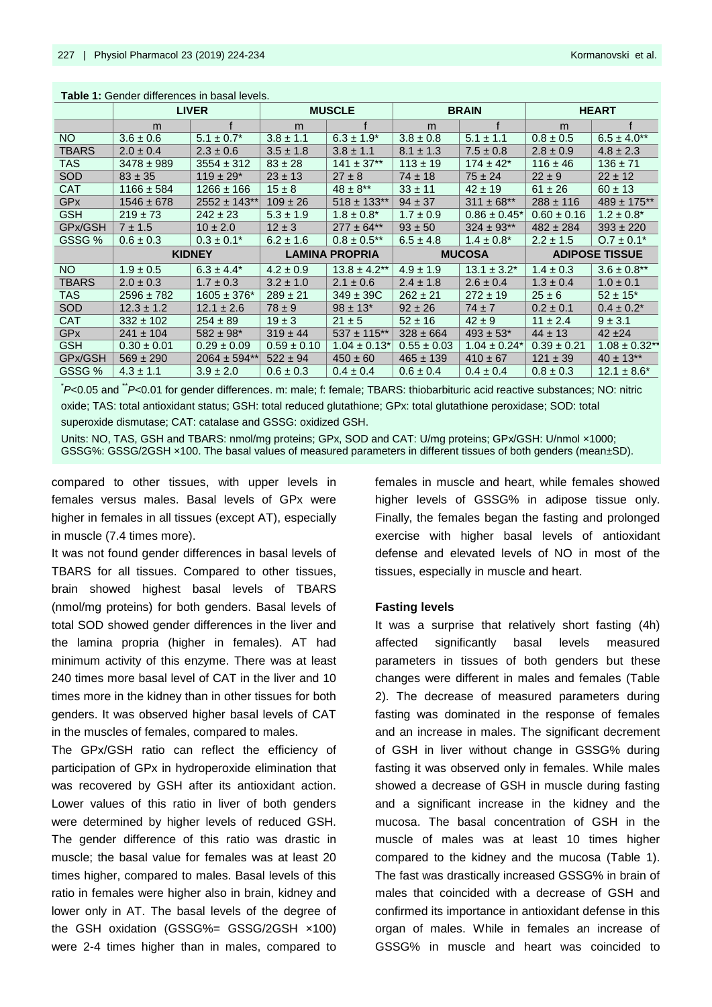|                       | <b>LIVER</b>    |                           |                       | <b>MUSCLE</b>     |                 | <b>BRAIN</b>      | <b>HEART</b>          |                    |  |
|-----------------------|-----------------|---------------------------|-----------------------|-------------------|-----------------|-------------------|-----------------------|--------------------|--|
|                       | m               | $\epsilon$                | m                     | $\epsilon$        | m               |                   | m                     |                    |  |
| NO.                   | $3.6 \pm 0.6$   | $5.1 \pm 0.7^*$           | $3.8 \pm 1.1$         | $6.3 \pm 1.9^*$   | $3.8 \pm 0.8$   | $5.1 \pm 1.1$     | $0.8 \pm 0.5$         | $6.5 \pm 4.0$ **   |  |
| <b>TBARS</b>          | $2.0 \pm 0.4$   | $2.3 \pm 0.6$             | $3.5 \pm 1.8$         | $3.8 \pm 1.1$     | $8.1 \pm 1.3$   | $7.5 \pm 0.8$     | $2.8 \pm 0.9$         | $4.8 \pm 2.3$      |  |
| TAS                   | $3478 \pm 989$  | $3554 \pm 312$            | $83 \pm 28$           | $141 \pm 37**$    | $113 \pm 19$    | $174 \pm 42^*$    | $116 \pm 46$          | $136 \pm 71$       |  |
| <b>SOD</b>            | $83 \pm 35$     | $119 \pm 29$ <sup>*</sup> | $23 \pm 13$           | $27 \pm 8$        | $74 \pm 18$     | $75 \pm 24$       | $22 \pm 9$            | $22 \pm 12$        |  |
| <b>CAT</b>            | $1166 \pm 584$  | $1266 \pm 166$            | $15 \pm 8$            | $48 \pm 8$ **     | $33 \pm 11$     | $42 \pm 19$       | $61 \pm 26$           | $60 \pm 13$        |  |
| <b>GP<sub>x</sub></b> | $1546 \pm 678$  | $2552 \pm 143**$          | $109 \pm 26$          | $518 \pm 133$ **  | $94 \pm 37$     | $311 \pm 68$ **   | $288 \pm 116$         | $489 \pm 175$ **   |  |
| <b>GSH</b>            | $219 \pm 73$    | $242 \pm 23$              | $5.3 \pm 1.9$         | $1.8 \pm 0.8^*$   | $1.7 \pm 0.9$   | $0.86 \pm 0.45^*$ | $0.60 \pm 0.16$       | $1.2 \pm 0.8^*$    |  |
| GPx/GSH               | $7 \pm 1.5$     | $10 \pm 2.0$              | $12 \pm 3$            | $277 \pm 64**$    | $93 \pm 50$     | $324 \pm 93$ **   | $482 \pm 284$         | $393 \pm 220$      |  |
| GSSG %                | $0.6 \pm 0.3$   | $0.3 \pm 0.1^*$           | $6.2 \pm 1.6$         | $0.8 \pm 0.5$ **  | $6.5 \pm 4.8$   | $1.4 \pm 0.8^*$   | $2.2 \pm 1.5$         | $0.7 \pm 0.1^*$    |  |
|                       | <b>KIDNEY</b>   |                           | <b>LAMINA PROPRIA</b> |                   | <b>MUCOSA</b>   |                   | <b>ADIPOSE TISSUE</b> |                    |  |
| NO.                   | $1.9 \pm 0.5$   | $6.3 \pm 4.4^*$           | $4.2 \pm 0.9$         | $13.8 \pm 4.2$ ** | $4.9 \pm 1.9$   | $13.1 \pm 3.2^*$  | $1.4 \pm 0.3$         | $3.6 \pm 0.8$ **   |  |
| <b>TBARS</b>          | $2.0 \pm 0.3$   | $1.7 \pm 0.3$             | $3.2 \pm 1.0$         | $2.1 \pm 0.6$     | $2.4 \pm 1.8$   | $2.6 \pm 0.4$     | $1.3 \pm 0.4$         | $1.0 \pm 0.1$      |  |
| <b>TAS</b>            | $2596 \pm 782$  | $1605 \pm 376^*$          | $289 \pm 21$          | $349 \pm 39C$     | $262 \pm 21$    | $272 \pm 19$      | $25 \pm 6$            | $52 \pm 15^*$      |  |
| <b>SOD</b>            | $12.3 \pm 1.2$  | $12.1 \pm 2.6$            | $78 \pm 9$            | $98 \pm 13$ *     | $92 \pm 26$     | $74 \pm 7$        | $0.2 \pm 0.1$         | $0.4 \pm 0.2^*$    |  |
| <b>CAT</b>            | $332 \pm 102$   | $254 \pm 89$              | $19 \pm 3$            | $21 \pm 5$        | $52 \pm 16$     | $42 \pm 9$        | $11 \pm 2.4$          | $9 \pm 3.1$        |  |
| <b>GPx</b>            | $241 \pm 104$   | $582 \pm 98$ *            | $319 \pm 44$          | $537 \pm 115$ **  | $328 \pm 664$   | $493 \pm 53$ *    | $44 \pm 13$           | $42 + 24$          |  |
| <b>GSH</b>            | $0.30 \pm 0.01$ | $0.29 \pm 0.09$           | $0.59 \pm 0.10$       | $1.04 \pm 0.13$ * | $0.55 \pm 0.03$ | $1.04 \pm 0.24*$  | $0.39 \pm 0.21$       | $1.08 \pm 0.32$ ** |  |
| GPx/GSH               | $569 \pm 290$   | $2064 \pm 594**$          | $522 \pm 94$          | $450 \pm 60$      | $465 \pm 139$   | $410 \pm 67$      | $121 \pm 39$          | $40 \pm 13**$      |  |
| GSSG %                | $4.3 \pm 1.1$   | $3.9 \pm 2.0$             | $0.6 \pm 0.3$         | $0.4 \pm 0.4$     | $0.6 \pm 0.4$   | $0.4 \pm 0.4$     | $0.8 \pm 0.3$         | $12.1 \pm 8.6^*$   |  |

**Table 1:** Gender differences in basal levels.

<sup>\*</sup>*P*<0.05 and <sup>\*\*</sup>*P*<0.01 for gender differences. m: male; f: female; TBARS: thiobarbituric acid reactive substances; NO: nitric oxide; TAS: total antioxidant status; GSH: total reduced glutathione; GPx: total glutathione peroxidase; SOD: total superoxide dismutase; CAT: catalase and GSSG: oxidized GSH.

Units: NO, TAS, GSH and TBARS: nmol/mg proteins; GPx, SOD and CAT: U/mg proteins; GPx/GSH: U/nmol ×1000;

GSSG%: GSSG/2GSH ×100. The basal values of measured parameters in different tissues of both genders (mean±SD).

compared to other tissues, with upper levels in females versus males. Basal levels of GPx were higher in females in all tissues (except AT), especially in muscle (7.4 times more).

It was not found gender differences in basal levels of TBARS for all tissues. Compared to other tissues, brain showed highest basal levels of TBARS (nmol/mg proteins) for both genders. Basal levels of total SOD showed gender differences in the liver and the lamina propria (higher in females). AT had minimum activity of this enzyme. There was at least 240 times more basal level of CAT in the liver and 10 times more in the kidney than in other tissues for both genders. It was observed higher basal levels of CAT in the muscles of females, compared to males.

The GPx/GSH ratio can reflect the efficiency of participation of GPx in hydroperoxide elimination that was recovered by GSH after its antioxidant action. Lower values of this ratio in liver of both genders were determined by higher levels of reduced GSH. The gender difference of this ratio was drastic in muscle; the basal value for females was at least 20 times higher, compared to males. Basal levels of this ratio in females were higher also in brain, kidney and lower only in AT. The basal levels of the degree of the GSH oxidation (GSSG%= GSSG/2GSH ×100) were 2-4 times higher than in males, compared to

females in muscle and heart, while females showed higher levels of GSSG% in adipose tissue only. Finally, the females began the fasting and prolonged exercise with higher basal levels of antioxidant defense and elevated levels of NO in most of the tissues, especially in muscle and heart.

#### **Fasting levels**

It was a surprise that relatively short fasting (4h) affected significantly basal levels measured parameters in tissues of both genders but these changes were different in males and females (Table 2). The decrease of measured parameters during fasting was dominated in the response of females and an increase in males. The significant decrement of GSH in liver without change in GSSG% during fasting it was observed only in females. While males showed a decrease of GSH in muscle during fasting and a significant increase in the kidney and the mucosa. The basal concentration of GSH in the muscle of males was at least 10 times higher compared to the kidney and the mucosa (Table 1). The fast was drastically increased GSSG% in brain of males that coincided with a decrease of GSH and confirmed its importance in antioxidant defense in this organ of males. While in females an increase of GSSG% in muscle and heart was coincided to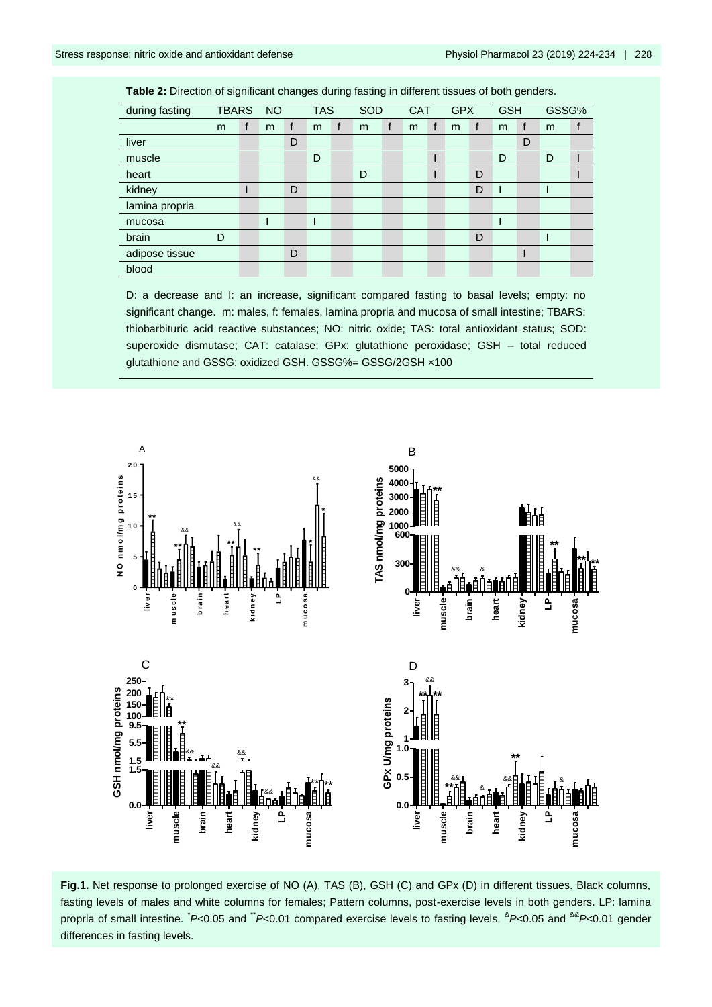adipose tissue D I D I D

blood

| during fasting | <b>TBARS</b> |  | <b>NO</b> |   | <b>TAS</b> |  | <b>SOD</b> | <b>CAT</b> | <b>GPX</b> |   | <b>GSH</b> |   | GSSG% |  |
|----------------|--------------|--|-----------|---|------------|--|------------|------------|------------|---|------------|---|-------|--|
|                | m            |  | m         |   | m          |  | m          | m          | m          |   | m          |   | m     |  |
| liver          |              |  |           | D |            |  |            |            |            |   |            | D |       |  |
| muscle         |              |  |           |   | D          |  |            |            |            |   | D          |   |       |  |
| heart          |              |  |           |   |            |  | D          |            |            | D |            |   |       |  |
| kidney         |              |  |           | D |            |  |            |            |            | D |            |   |       |  |
| lamina propria |              |  |           |   |            |  |            |            |            |   |            |   |       |  |

mucosa de la provincia de la provincia de la provincia de la provincia de la provincia de la provincia de la p

brain D D I

D: a decrease and I: an increase, significant compared fasting to basal levels; empty: no significant change. m: males, f: females, lamina propria and mucosa of small intestine; TBARS: thiobarbituric acid reactive substances; NO: nitric oxide; TAS: total antioxidant status; SOD: superoxide dismutase; CAT: catalase; GPx: glutathione peroxidase; GSH – total reduced glutathione and GSSG: oxidized GSH. GSSG%= GSSG/2GSH ×100



**Fig.1.** Net response to prolonged exercise of NO (A), TAS (B), GSH (C) and GPx (D) in different tissues. Black columns, fasting levels of males and white columns for females; Pattern columns, post-exercise levels in both genders. LP: lamina propria of small intestine. <sup>\*</sup>P<0.05 and <sup>\*\*</sup>P<0.01 compared exercise levels to fasting levels. <sup>&</sup>P<0.05 and <sup>&&</sup>P<0.01 gender differences in fasting levels.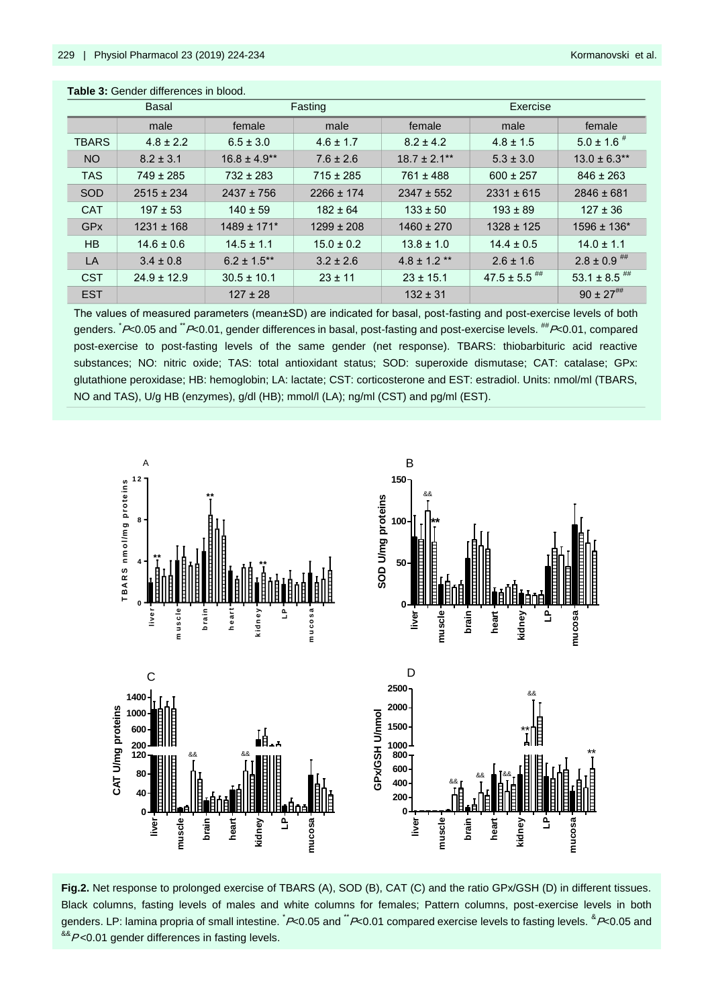| <b>Basal</b>          |                 |                  | Fasting        | Exercise          |                              |                             |  |  |
|-----------------------|-----------------|------------------|----------------|-------------------|------------------------------|-----------------------------|--|--|
|                       | male            | female           | male           | female            | male                         | female                      |  |  |
| <b>TBARS</b>          | $4.8 \pm 2.2$   | $6.5 \pm 3.0$    | $4.6 \pm 1.7$  | $8.2 \pm 4.2$     | $4.8 \pm 1.5$                | $5.0 \pm 1.6$ <sup>#</sup>  |  |  |
| NO <sub>1</sub>       | $8.2 \pm 3.1$   | $16.8 \pm 4.9**$ | $7.6 \pm 2.6$  | $18.7 \pm 2.1***$ | $5.3 \pm 3.0$                | $13.0 \pm 6.3$ **           |  |  |
| <b>TAS</b>            | $749 \pm 285$   | $732 \pm 283$    | $715 \pm 285$  | $761 \pm 488$     | $600 \pm 257$                | $846 \pm 263$               |  |  |
| <b>SOD</b>            | $2515 \pm 234$  | $2437 \pm 756$   | $2266 \pm 174$ | $2347 \pm 552$    | $2331 \pm 615$               | $2846 \pm 681$              |  |  |
| <b>CAT</b>            | $197 \pm 53$    | $140 \pm 59$     | $182 \pm 64$   | $133 \pm 50$      | $193 \pm 89$                 | $127 \pm 36$                |  |  |
| <b>GP<sub>x</sub></b> | $1231 \pm 168$  | $1489 \pm 171$ * | $1299 \pm 208$ | $1460 \pm 270$    | $1328 \pm 125$               | $1596 \pm 136$ <sup>*</sup> |  |  |
| HB                    | $14.6 \pm 0.6$  | $14.5 \pm 1.1$   | $15.0 \pm 0.2$ | $13.8 \pm 1.0$    | $14.4 \pm 0.5$               | $14.0 \pm 1.1$              |  |  |
| LA                    | $3.4 \pm 0.8$   | $6.2 \pm 1.5$ ** | $3.2 \pm 2.6$  | $4.8 \pm 1.2$ **  | $2.6 \pm 1.6$                | $2.8 \pm 0.9$ ##            |  |  |
| <b>CST</b>            | $24.9 \pm 12.9$ | $30.5 \pm 10.1$  | $23 \pm 11$    | $23 \pm 15.1$     | $47.5 \pm 5.5$ <sup>##</sup> | 53.1 ± 8.5 $^{\#}$          |  |  |
| <b>EST</b>            |                 | $127 \pm 28$     |                | $132 \pm 31$      |                              | $90 \pm 27$ <sup>##</sup>   |  |  |

 **Table 3:** Gender differences in blood.

The values of measured parameters (mean±SD) are indicated for basal, post-fasting and post-exercise levels of both genders.  $\dot{P}$ <0.05 and  $\ddot{P}$ <0.01, gender differences in basal, post-fasting and post-exercise levels.  $^{**}P$ <0.01, compared post-exercise to post-fasting levels of the same gender (net response). TBARS: thiobarbituric acid reactive substances; NO: nitric oxide; TAS: total antioxidant status; SOD: superoxide dismutase; CAT: catalase; GPx: glutathione peroxidase; HB: hemoglobin; LA: lactate; CST: corticosterone and EST: estradiol. Units: nmol/ml (TBARS, NO and TAS), U/g HB (enzymes), g/dl (HB); mmol/l (LA); ng/ml (CST) and pg/ml (EST).



**Fig.2.** Net response to prolonged exercise of TBARS (A), SOD (B), CAT (C) and the ratio GPx/GSH (D) in different tissues. Black columns, fasting levels of males and white columns for females; Pattern columns, post-exercise levels in both genders. LP: lamina propria of small intestine. <sup>\*</sup>P<0.05 and <sup>\*\*</sup>P<0.01 compared exercise levels to fasting levels. <sup>&</sup>P<0.05 and  $^{88}P<0.01$  gender differences in fasting levels.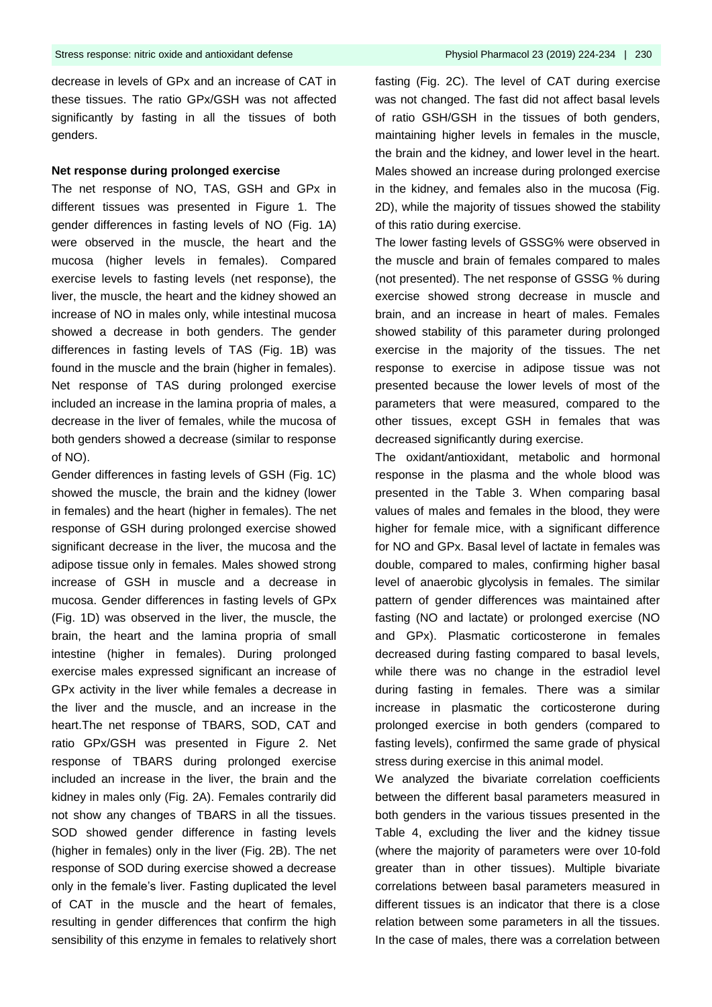decrease in levels of GPx and an increase of CAT in these tissues. The ratio GPx/GSH was not affected significantly by fasting in all the tissues of both genders.

#### **Net response during prolonged exercise**

The net response of NO, TAS, GSH and GPx in different tissues was presented in Figure 1. The gender differences in fasting levels of NO (Fig. 1A) were observed in the muscle, the heart and the mucosa (higher levels in females). Compared exercise levels to fasting levels (net response), the liver, the muscle, the heart and the kidney showed an increase of NO in males only, while intestinal mucosa showed a decrease in both genders. The gender differences in fasting levels of TAS (Fig. 1B) was found in the muscle and the brain (higher in females). Net response of TAS during prolonged exercise included an increase in the lamina propria of males, a decrease in the liver of females, while the mucosa of both genders showed a decrease (similar to response of NO).

Gender differences in fasting levels of GSH (Fig. 1C) showed the muscle, the brain and the kidney (lower in females) and the heart (higher in females). The net response of GSH during prolonged exercise showed significant decrease in the liver, the mucosa and the adipose tissue only in females. Males showed strong increase of GSH in muscle and a decrease in mucosa. Gender differences in fasting levels of GPx (Fig. 1D) was observed in the liver, the muscle, the brain, the heart and the lamina propria of small intestine (higher in females). During prolonged exercise males expressed significant an increase of GPx activity in the liver while females a decrease in the liver and the muscle, and an increase in the heart.The net response of TBARS, SOD, CAT and ratio GPx/GSH was presented in Figure 2. Net response of TBARS during prolonged exercise included an increase in the liver, the brain and the kidney in males only (Fig. 2A). Females contrarily did not show any changes of TBARS in all the tissues. SOD showed gender difference in fasting levels (higher in females) only in the liver (Fig. 2B). The net response of SOD during exercise showed a decrease only in the female's liver. Fasting duplicated the level of CAT in the muscle and the heart of females, resulting in gender differences that confirm the high sensibility of this enzyme in females to relatively short

fasting (Fig. 2C). The level of CAT during exercise was not changed. The fast did not affect basal levels of ratio GSH/GSH in the tissues of both genders, maintaining higher levels in females in the muscle, the brain and the kidney, and lower level in the heart. Males showed an increase during prolonged exercise in the kidney, and females also in the mucosa (Fig. 2D), while the majority of tissues showed the stability of this ratio during exercise.

The lower fasting levels of GSSG% were observed in the muscle and brain of females compared to males (not presented). The net response of GSSG % during exercise showed strong decrease in muscle and brain, and an increase in heart of males. Females showed stability of this parameter during prolonged exercise in the majority of the tissues. The net response to exercise in adipose tissue was not presented because the lower levels of most of the parameters that were measured, compared to the other tissues, except GSH in females that was decreased significantly during exercise.

The oxidant/antioxidant, metabolic and hormonal response in the plasma and the whole blood was presented in the Table 3. When comparing basal values of males and females in the blood, they were higher for female mice, with a significant difference for NO and GPx. Basal level of lactate in females was double, compared to males, confirming higher basal level of anaerobic glycolysis in females. The similar pattern of gender differences was maintained after fasting (NO and lactate) or prolonged exercise (NO and GPx). Plasmatic corticosterone in females decreased during fasting compared to basal levels, while there was no change in the estradiol level during fasting in females. There was a similar increase in plasmatic the corticosterone during prolonged exercise in both genders (compared to fasting levels), confirmed the same grade of physical stress during exercise in this animal model.

We analyzed the bivariate correlation coefficients between the different basal parameters measured in both genders in the various tissues presented in the Table 4, excluding the liver and the kidney tissue (where the majority of parameters were over 10-fold greater than in other tissues). Multiple bivariate correlations between basal parameters measured in different tissues is an indicator that there is a close relation between some parameters in all the tissues. In the case of males, there was a correlation between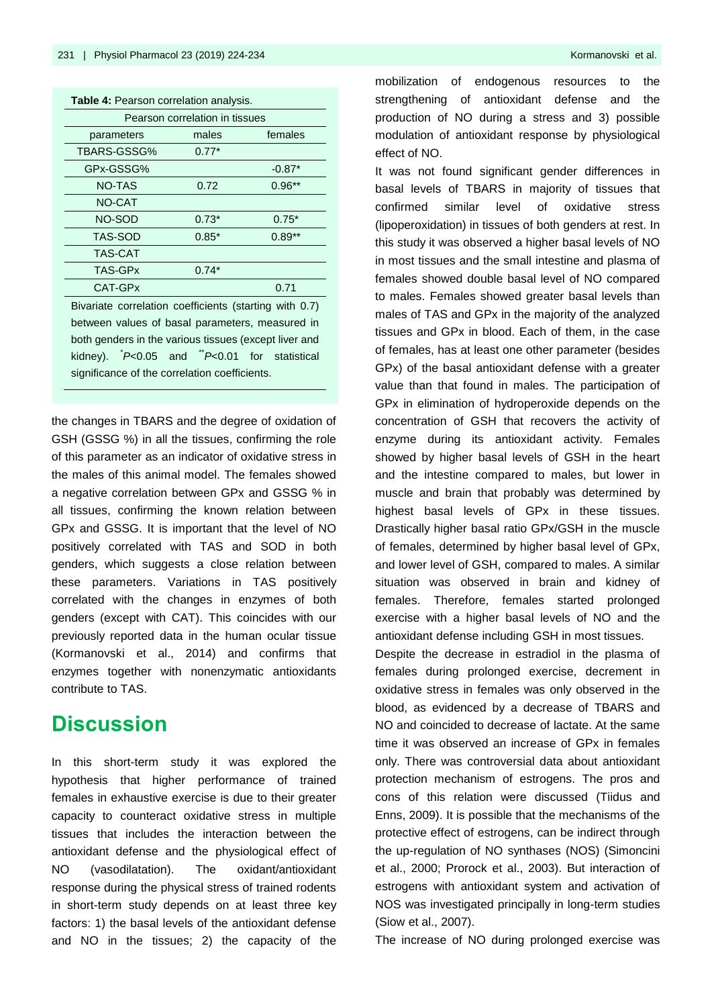| Table 4: Pearson correlation analysis. |         |          |  |  |  |  |  |
|----------------------------------------|---------|----------|--|--|--|--|--|
| Pearson correlation in tissues         |         |          |  |  |  |  |  |
| males<br>females<br>parameters         |         |          |  |  |  |  |  |
| TBARS-GSSG%                            | $0.77*$ |          |  |  |  |  |  |
| GPx-GSSG%                              |         | $-0.87*$ |  |  |  |  |  |
| <b>NO-TAS</b>                          | 0.72    | $0.96**$ |  |  |  |  |  |
| NO-CAT                                 |         |          |  |  |  |  |  |
| NO-SOD                                 | $0.73*$ | $0.75*$  |  |  |  |  |  |
| TAS-SOD                                | $0.85*$ | $0.89**$ |  |  |  |  |  |
| <b>TAS-CAT</b>                         |         |          |  |  |  |  |  |
| TAS-GPx                                | $0.74*$ |          |  |  |  |  |  |
| CAT-GPx                                |         | 0.71     |  |  |  |  |  |
|                                        |         |          |  |  |  |  |  |

Bivariate correlation coefficients (starting with 0.7) between values of basal parameters, measured in both genders in the various tissues (except liver and kidney). <sup>\*</sup>P<0.05 and <sup>\*\*</sup>P<0.01 for statistical significance of the correlation coefficients.

the changes in TBARS and the degree of oxidation of GSH (GSSG %) in all the tissues, confirming the role of this parameter as an indicator of oxidative stress in the males of this animal model. The females showed a negative correlation between GPx and GSSG % in all tissues, confirming the known relation between GPx and GSSG. It is important that the level of NO positively correlated with TAS and SOD in both genders, which suggests a close relation between these parameters. Variations in TAS positively correlated with the changes in enzymes of both genders (except with CAT). This coincides with our previously reported data in the human ocular tissue (Kormanovski et al., 2014) and confirms that enzymes together with nonenzymatic antioxidants contribute to TAS.

### **Discussion**

In this short-term study it was explored the hypothesis that higher performance of trained females in exhaustive exercise is due to their greater capacity to counteract oxidative stress in multiple tissues that includes the interaction between the antioxidant defense and the physiological effect of NO (vasodilatation). The oxidant/antioxidant response during the physical stress of trained rodents in short-term study depends on at least three key factors: 1) the basal levels of the antioxidant defense and NO in the tissues; 2) the capacity of the

mobilization of endogenous resources to the strengthening of antioxidant defense and the production of NO during a stress and 3) possible modulation of antioxidant response by physiological effect of NO.

It was not found significant gender differences in basal levels of TBARS in majority of tissues that confirmed similar level of oxidative stress (lipoperoxidation) in tissues of both genders at rest. In this study it was observed a higher basal levels of NO in most tissues and the small intestine and plasma of females showed double basal level of NO compared to males. Females showed greater basal levels than males of TAS and GPx in the majority of the analyzed tissues and GPx in blood. Each of them, in the case of females, has at least one other parameter (besides GPx) of the basal antioxidant defense with a greater value than that found in males. The participation of GPx in elimination of hydroperoxide depends on the concentration of GSH that recovers the activity of enzyme during its antioxidant activity. Females showed by higher basal levels of GSH in the heart and the intestine compared to males, but lower in muscle and brain that probably was determined by highest basal levels of GPx in these tissues. Drastically higher basal ratio GPx/GSH in the muscle of females, determined by higher basal level of GPx, and lower level of GSH, compared to males. A similar situation was observed in brain and kidney of females. Therefore, females started prolonged exercise with a higher basal levels of NO and the antioxidant defense including GSH in most tissues.

Despite the decrease in estradiol in the plasma of females during prolonged exercise, decrement in oxidative stress in females was only observed in the blood, as evidenced by a decrease of TBARS and NO and coincided to decrease of lactate. At the same time it was observed an increase of GPx in females only. There was controversial data about antioxidant protection mechanism of estrogens. The pros and cons of this relation were discussed (Tiidus and Enns, 2009). It is possible that the mechanisms of the protective effect of estrogens, can be indirect through the up-regulation of NO synthases (NOS) (Simoncini et al., 2000; Prorock et al., 2003). But interaction of estrogens with antioxidant system and activation of NOS was investigated principally in long-term studies (Siow et al., 2007).

The increase of NO during prolonged exercise was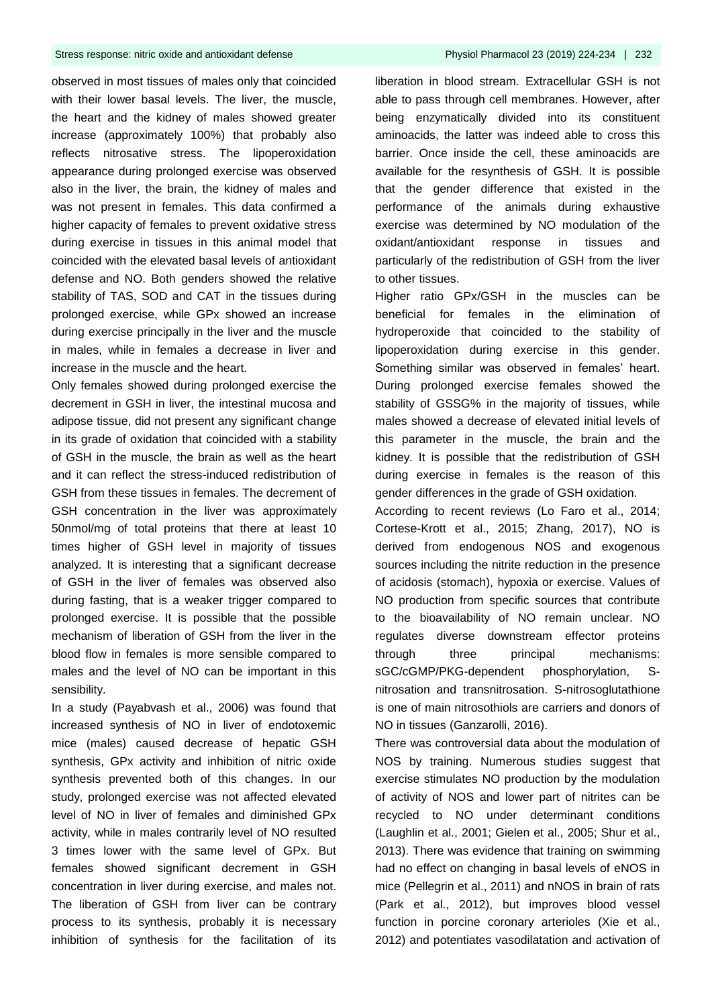observed in most tissues of males only that coincided with their lower basal levels. The liver, the muscle, the heart and the kidney of males showed greater increase (approximately 100%) that probably also reflects nitrosative stress. The lipoperoxidation appearance during prolonged exercise was observed also in the liver, the brain, the kidney of males and was not present in females. This data confirmed a higher capacity of females to prevent oxidative stress during exercise in tissues in this animal model that coincided with the elevated basal levels of antioxidant defense and NO. Both genders showed the relative stability of TAS, SOD and CAT in the tissues during prolonged exercise, while GPx showed an increase during exercise principally in the liver and the muscle in males, while in females a decrease in liver and increase in the muscle and the heart.

Only females showed during prolonged exercise the decrement in GSH in liver, the intestinal mucosa and adipose tissue, did not present any significant change in its grade of oxidation that coincided with a stability of GSH in the muscle, the brain as well as the heart and it can reflect the stress-induced redistribution of GSH from these tissues in females. The decrement of GSH concentration in the liver was approximately 50nmol/mg of total proteins that there at least 10 times higher of GSH level in majority of tissues analyzed. It is interesting that a significant decrease of GSH in the liver of females was observed also during fasting, that is a weaker trigger compared to prolonged exercise. It is possible that the possible mechanism of liberation of GSH from the liver in the blood flow in females is more sensible compared to males and the level of NO can be important in this sensibility.

In a study (Payabvash et al., 2006) was found that increased synthesis of NO in liver of endotoxemic mice (males) caused decrease of hepatic GSH synthesis, GPx activity and inhibition of nitric oxide synthesis prevented both of this changes. In our study, prolonged exercise was not affected elevated level of NO in liver of females and diminished GPx activity, while in males contrarily level of NO resulted 3 times lower with the same level of GPx. But females showed significant decrement in GSH concentration in liver during exercise, and males not. The liberation of GSH from liver can be contrary process to its synthesis, probably it is necessary inhibition of synthesis for the facilitation of its

liberation in blood stream. Extracellular GSH is not able to pass through cell membranes. However, after being enzymatically divided into its constituent aminoacids, the latter was indeed able to cross this barrier. Once inside the cell, these aminoacids are available for the resynthesis of GSH. It is possible that the gender difference that existed in the performance of the animals during exhaustive exercise was determined by NO modulation of the oxidant/antioxidant response in tissues and particularly of the redistribution of GSH from the liver to other tissues.

Higher ratio GPx/GSH in the muscles can be beneficial for females in the elimination of hydroperoxide that coincided to the stability of lipoperoxidation during exercise in this gender. Something similar was observed in females' heart. During prolonged exercise females showed the stability of GSSG% in the majority of tissues, while males showed a decrease of elevated initial levels of this parameter in the muscle, the brain and the kidney. It is possible that the redistribution of GSH during exercise in females is the reason of this gender differences in the grade of GSH oxidation.

According to recent reviews (Lo Faro et al., 2014; Cortese-Krott et al., 2015; Zhang, 2017), NO is derived from endogenous NOS and exogenous sources including the nitrite reduction in the presence of acidosis (stomach), hypoxia or exercise. Values of NO production from specific sources that contribute to the bioavailability of NO remain unclear. NO regulates diverse downstream effector proteins through three principal mechanisms: sGC/cGMP/PKG-dependent phosphorylation, Snitrosation and transnitrosation. S-nitrosoglutathione is one of main nitrosothiols are carriers and donors of NO in tissues (Ganzarolli, 2016).

There was controversial data about the modulation of NOS by training. Numerous studies suggest that exercise stimulates NO production by the modulation of activity of NOS and lower part of nitrites can be recycled to NO under determinant conditions (Laughlin et al., 2001; Gielen et al., 2005; Shur et al., 2013). There was evidence that training on swimming had no effect on changing in basal levels of eNOS in mice (Pellegrin et al., 2011) and nNOS in brain of rats (Park et al., 2012), but improves blood vessel function in porcine coronary arterioles (Xie et al., 2012) and potentiates vasodilatation and activation of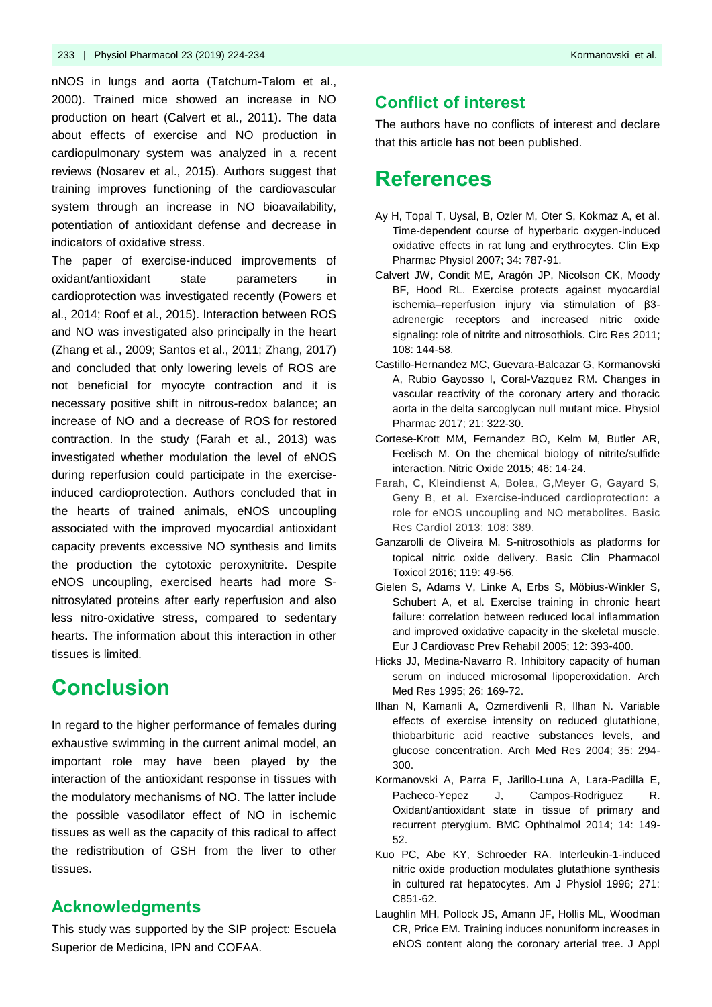nNOS in lungs and aorta (Tatchum-Talom et al., 2000). Trained mice showed an increase in NO production on heart (Calvert et al., 2011). The data about effects of exercise and NO production in cardiopulmonary system was analyzed in a recent reviews (Nosarev et al., 2015). Authors suggest that training improves functioning of the cardiovascular system through an increase in NO bioavailability, potentiation of antioxidant defense and decrease in indicators of oxidative stress.

The paper of exercise-induced improvements of oxidant/antioxidant state parameters in cardioprotection was investigated recently (Powers et al., 2014; Roof et al., 2015). Interaction between ROS and NO was investigated also principally in the heart (Zhang et al., 2009; Santos et al., 2011; Zhang, 2017) and concluded that only lowering levels of ROS are not beneficial for myocyte contraction and it is necessary positive shift in nitrous-redox balance; an increase of NO and a decrease of ROS for restored contraction. In the study (Farah et al., 2013) was investigated whether modulation the level of eNOS during reperfusion could participate in the exerciseinduced cardioprotection. Authors concluded that in the hearts of trained animals, eNOS uncoupling associated with the improved myocardial antioxidant capacity prevents excessive NO synthesis and limits the production the cytotoxic peroxynitrite. Despite eNOS uncoupling, exercised hearts had more Snitrosylated proteins after early reperfusion and also less nitro-oxidative stress, compared to sedentary hearts. The information about this interaction in other tissues is limited.

## **Conclusion**

In regard to the higher performance of females during exhaustive swimming in the current animal model, an important role may have been played by the interaction of the antioxidant response in tissues with the modulatory mechanisms of NO. The latter include the possible vasodilator effect of NO in ischemic tissues as well as the capacity of this radical to affect the redistribution of GSH from the liver to other tissues.

### **Acknowledgments**

This study was supported by the SIP project: Escuela Superior de Medicina, IPN and COFAA.

The authors have no conflicts of interest and declare that this article has not been published.

### **References**

- Ay H, Topal T, Uysal, B, Ozler M, Oter S, Kokmaz A, et al. Time-dependent course of hyperbaric oxygen-induced oxidative effects in rat lung and erythrocytes. Clin Exp Pharmac Physiol 2007; 34: 787-91.
- Calvert JW, Condit ME, Aragón JP, Nicolson CK, Moody BF, Hood RL. Exercise protects against myocardial ischemia–reperfusion injury via stimulation of β3 adrenergic receptors and increased nitric oxide signaling: role of nitrite and nitrosothiols. Circ Res 2011; 108: 144-58.
- Castillo-Hernandez MC, Guevara-Balcazar G, Kormanovski A, Rubio Gayosso I, Coral-Vazquez RM. Changes in vascular reactivity of the coronary artery and thoracic aorta in the delta sarcoglycan null mutant mice. Physiol Pharmac 2017; 21: 322-30.
- Cortese-Krott MM, Fernandez BO, Kelm M, Butler AR, Feelisch M. On the chemical biology of nitrite/sulfide interaction. Nitric Oxide 2015; 46: 14-24.
- Farah, C, Kleindienst A, Bolea, G,Meyer G, Gayard S, Geny B, et al. Exercise-induced cardioprotection: a role for eNOS uncoupling and NO metabolites. Basic Res Cardiol 2013; 108: 389.
- Ganzarolli de Oliveira M. S-nitrosothiols as platforms for topical nitric oxide delivery. Basic Clin Pharmacol Toxicol 2016; 119: 49-56.
- Gielen S, Adams V, Linke A, Erbs S, Möbius-Winkler S, Schubert A, et al. Exercise training in chronic heart failure: correlation between reduced local inflammation and improved oxidative capacity in the skeletal muscle. Eur J Cardiovasc Prev Rehabil 2005; 12: 393-400.
- Hicks JJ, Medina-Navarro R. Inhibitory capacity of human serum on induced microsomal lipoperoxidation. Arch Med Res 1995; 26: 169-72.
- Ilhan N, Kamanli A, Ozmerdivenli R, Ilhan N. Variable effects of exercise intensity on reduced glutathione, thiobarbituric acid reactive substances levels, and glucose concentration. Arch Med Res 2004; 35: 294- 300.
- Kormanovski A, Parra F, Jarillo-Luna A, Lara-Padilla E, Pacheco-Yepez J, Campos-Rodriguez R. Oxidant/antioxidant state in tissue of primary and recurrent pterygium. BMC Ophthalmol 2014; 14: 149- 52.
- Kuo PC, Abe KY, Schroeder RA. Interleukin-1-induced nitric oxide production modulates glutathione synthesis in cultured rat hepatocytes. Am J Physiol 1996; 271: C851-62.
- Laughlin MH, Pollock JS, Amann JF, Hollis ML, Woodman CR, Price EM. Training induces nonuniform increases in eNOS content along the coronary arterial tree. J Appl